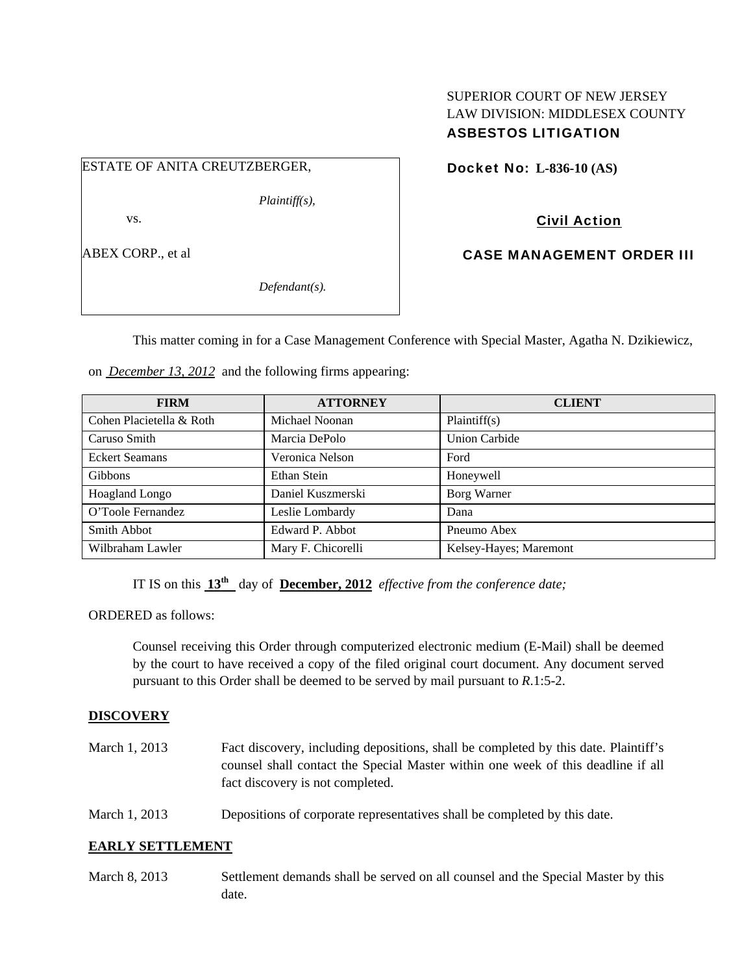# SUPERIOR COURT OF NEW JERSEY LAW DIVISION: MIDDLESEX COUNTY ASBESTOS LITIGATION

ESTATE OF ANITA CREUTZBERGER,

*Plaintiff(s),* 

vs.

ABEX CORP., et al

*Defendant(s).* 

Docket No: **L-836-10 (AS)** 

Civil Action

CASE MANAGEMENT ORDER III

This matter coming in for a Case Management Conference with Special Master, Agatha N. Dzikiewicz,

on *December 13, 2012* and the following firms appearing:

| <b>FIRM</b>              | <b>ATTORNEY</b>    | <b>CLIENT</b>          |
|--------------------------|--------------------|------------------------|
| Cohen Placietella & Roth | Michael Noonan     | Plaintiff(s)           |
| Caruso Smith             | Marcia DePolo      | Union Carbide          |
| <b>Eckert Seamans</b>    | Veronica Nelson    | Ford                   |
| <b>Gibbons</b>           | Ethan Stein        | Honeywell              |
| Hoagland Longo           | Daniel Kuszmerski  | Borg Warner            |
| O'Toole Fernandez        | Leslie Lombardy    | Dana                   |
| Smith Abbot              | Edward P. Abbot    | Pneumo Abex            |
| Wilbraham Lawler         | Mary F. Chicorelli | Kelsey-Hayes; Maremont |

IT IS on this  $13^{\text{th}}$  day of **December, 2012** *effective from the conference date;* 

ORDERED as follows:

Counsel receiving this Order through computerized electronic medium (E-Mail) shall be deemed by the court to have received a copy of the filed original court document. Any document served pursuant to this Order shall be deemed to be served by mail pursuant to *R*.1:5-2.

# **DISCOVERY**

| March 1, 2013 | Fact discovery, including depositions, shall be completed by this date. Plaintiff's<br>counsel shall contact the Special Master within one week of this deadline if all<br>fact discovery is not completed. |
|---------------|-------------------------------------------------------------------------------------------------------------------------------------------------------------------------------------------------------------|
| March 1, 2013 | Depositions of corporate representatives shall be completed by this date.                                                                                                                                   |

# **EARLY SETTLEMENT**

March 8, 2013 Settlement demands shall be served on all counsel and the Special Master by this date.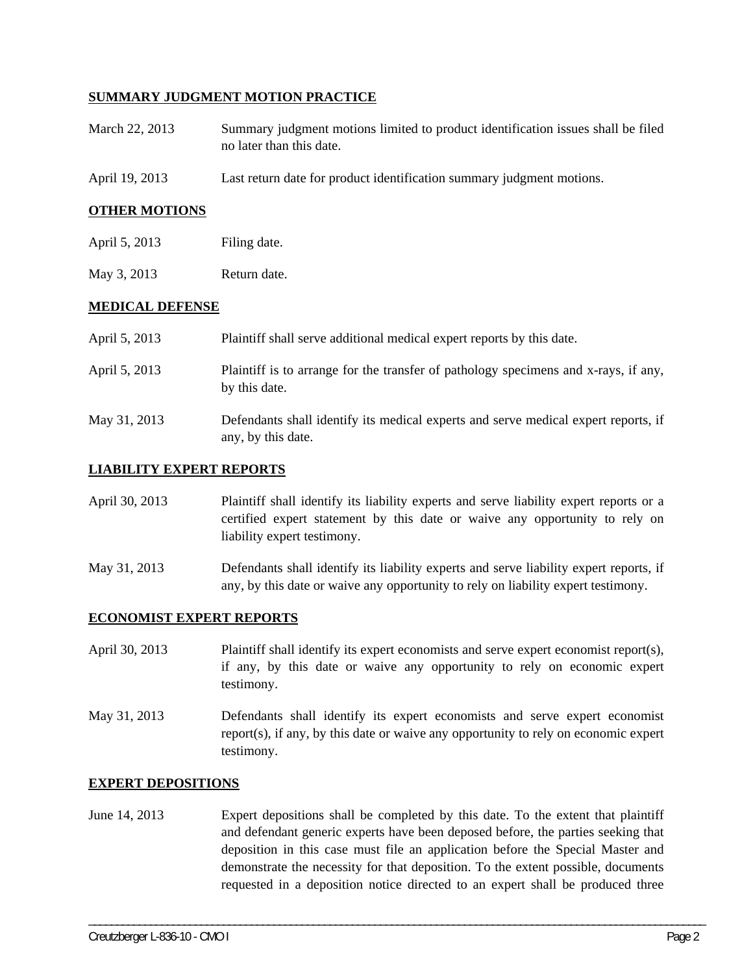# **SUMMARY JUDGMENT MOTION PRACTICE**

- March 22, 2013 Summary judgment motions limited to product identification issues shall be filed no later than this date.
- April 19, 2013 Last return date for product identification summary judgment motions.

## **OTHER MOTIONS**

- April 5, 2013 Filing date.
- May 3, 2013 Return date.

## **MEDICAL DEFENSE**

| April 5, 2013 | Plaintiff shall serve additional medical expert reports by this date.                                    |
|---------------|----------------------------------------------------------------------------------------------------------|
| April 5, 2013 | Plaintiff is to arrange for the transfer of pathology specimens and x-rays, if any,<br>by this date.     |
| May 31, 2013  | Defendants shall identify its medical experts and serve medical expert reports, if<br>any, by this date. |

## **LIABILITY EXPERT REPORTS**

| April 30, 2013 | Plaintiff shall identify its liability experts and serve liability expert reports or a |
|----------------|----------------------------------------------------------------------------------------|
|                | certified expert statement by this date or waive any opportunity to rely on            |
|                | liability expert testimony.                                                            |

May 31, 2013 Defendants shall identify its liability experts and serve liability expert reports, if any, by this date or waive any opportunity to rely on liability expert testimony.

#### **ECONOMIST EXPERT REPORTS**

April 30, 2013 Plaintiff shall identify its expert economists and serve expert economist report(s), if any, by this date or waive any opportunity to rely on economic expert testimony.

May 31, 2013 Defendants shall identify its expert economists and serve expert economist report(s), if any, by this date or waive any opportunity to rely on economic expert testimony.

#### **EXPERT DEPOSITIONS**

June 14, 2013 Expert depositions shall be completed by this date. To the extent that plaintiff and defendant generic experts have been deposed before, the parties seeking that deposition in this case must file an application before the Special Master and demonstrate the necessity for that deposition. To the extent possible, documents requested in a deposition notice directed to an expert shall be produced three

\_\_\_\_\_\_\_\_\_\_\_\_\_\_\_\_\_\_\_\_\_\_\_\_\_\_\_\_\_\_\_\_\_\_\_\_\_\_\_\_\_\_\_\_\_\_\_\_\_\_\_\_\_\_\_\_\_\_\_\_\_\_\_\_\_\_\_\_\_\_\_\_\_\_\_\_\_\_\_\_\_\_\_\_\_\_\_\_\_\_\_\_\_\_\_\_\_\_\_\_\_\_\_\_\_\_\_\_\_\_